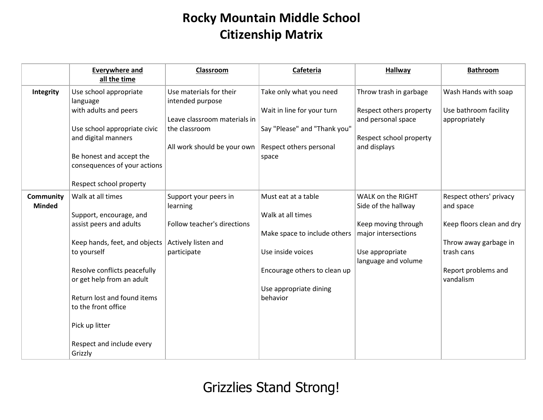## **Rocky Mountain Middle School Citizenship Matrix**

|                            | <b>Everywhere and</b><br>all the time                                                                                                                                                                                                                                                                | Classroom                                                                                                                   | Cafeteria                                                                                                                                                           | <b>Hallway</b>                                                                                                                   | <b>Bathroom</b>                                                                                                                              |
|----------------------------|------------------------------------------------------------------------------------------------------------------------------------------------------------------------------------------------------------------------------------------------------------------------------------------------------|-----------------------------------------------------------------------------------------------------------------------------|---------------------------------------------------------------------------------------------------------------------------------------------------------------------|----------------------------------------------------------------------------------------------------------------------------------|----------------------------------------------------------------------------------------------------------------------------------------------|
| Integrity                  | Use school appropriate<br>language<br>with adults and peers<br>Use school appropriate civic<br>and digital manners<br>Be honest and accept the<br>consequences of your actions<br>Respect school property                                                                                            | Use materials for their<br>intended purpose<br>Leave classroom materials in<br>the classroom<br>All work should be your own | Take only what you need<br>Wait in line for your turn<br>Say "Please" and "Thank you"<br>Respect others personal<br>space                                           | Throw trash in garbage<br>Respect others property<br>and personal space<br>Respect school property<br>and displays               | Wash Hands with soap<br>Use bathroom facility<br>appropriately                                                                               |
| Community<br><b>Minded</b> | Walk at all times<br>Support, encourage, and<br>assist peers and adults<br>Keep hands, feet, and objects<br>to yourself<br>Resolve conflicts peacefully<br>or get help from an adult<br>Return lost and found items<br>to the front office<br>Pick up litter<br>Respect and include every<br>Grizzly | Support your peers in<br>learning<br>Follow teacher's directions<br>Actively listen and<br>participate                      | Must eat at a table<br>Walk at all times<br>Make space to include others<br>Use inside voices<br>Encourage others to clean up<br>Use appropriate dining<br>behavior | WALK on the RIGHT<br>Side of the hallway<br>Keep moving through<br>major intersections<br>Use appropriate<br>language and volume | Respect others' privacy<br>and space<br>Keep floors clean and dry<br>Throw away garbage in<br>trash cans<br>Report problems and<br>vandalism |